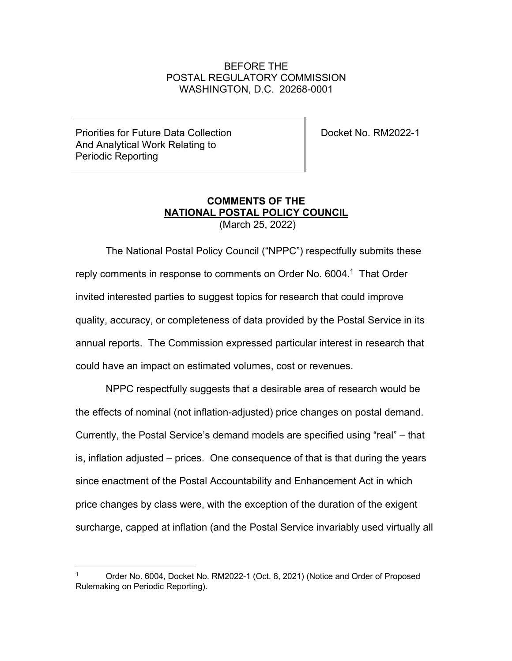## BEFORE THE POSTAL REGULATORY COMMISSION WASHINGTON, D.C. 20268-0001

Priorities for Future Data Collection And Analytical Work Relating to Periodic Reporting

Docket No. RM2022-1

## **COMMENTS OF THE NATIONAL POSTAL POLICY COUNCIL** (March 25, 2022)

The National Postal Policy Council ("NPPC") respectfully submits these reply comments in response to comments on Order No. 6004. 1 That Order invited interested parties to suggest topics for research that could improve quality, accuracy, or completeness of data provided by the Postal Service in its annual reports. The Commission expressed particular interest in research that could have an impact on estimated volumes, cost or revenues.

NPPC respectfully suggests that a desirable area of research would be the effects of nominal (not inflation-adjusted) price changes on postal demand. Currently, the Postal Service's demand models are specified using "real" – that is, inflation adjusted – prices. One consequence of that is that during the years since enactment of the Postal Accountability and Enhancement Act in which price changes by class were, with the exception of the duration of the exigent surcharge, capped at inflation (and the Postal Service invariably used virtually all

<sup>1</sup> Order No. 6004, Docket No. RM2022-1 (Oct. 8, 2021) (Notice and Order of Proposed Rulemaking on Periodic Reporting).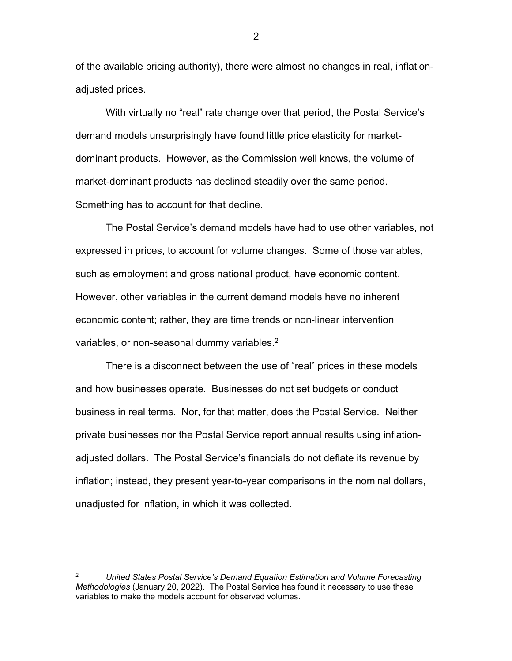of the available pricing authority), there were almost no changes in real, inflationadjusted prices.

With virtually no "real" rate change over that period, the Postal Service's demand models unsurprisingly have found little price elasticity for marketdominant products. However, as the Commission well knows, the volume of market-dominant products has declined steadily over the same period. Something has to account for that decline.

The Postal Service's demand models have had to use other variables, not expressed in prices, to account for volume changes. Some of those variables, such as employment and gross national product, have economic content. However, other variables in the current demand models have no inherent economic content; rather, they are time trends or non-linear intervention variables, or non-seasonal dummy variables.<sup>2</sup>

There is a disconnect between the use of "real" prices in these models and how businesses operate. Businesses do not set budgets or conduct business in real terms. Nor, for that matter, does the Postal Service. Neither private businesses nor the Postal Service report annual results using inflationadjusted dollars. The Postal Service's financials do not deflate its revenue by inflation; instead, they present year-to-year comparisons in the nominal dollars, unadjusted for inflation, in which it was collected.

2

<sup>2</sup> *United States Postal Service's Demand Equation Estimation and Volume Forecasting Methodologies* (January 20, 2022). The Postal Service has found it necessary to use these variables to make the models account for observed volumes.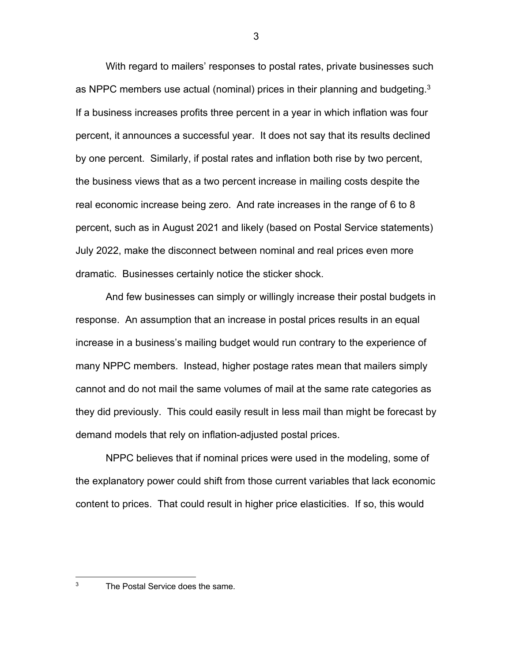With regard to mailers' responses to postal rates, private businesses such as NPPC members use actual (nominal) prices in their planning and budgeting.<sup>3</sup> If a business increases profits three percent in a year in which inflation was four percent, it announces a successful year. It does not say that its results declined by one percent. Similarly, if postal rates and inflation both rise by two percent, the business views that as a two percent increase in mailing costs despite the real economic increase being zero. And rate increases in the range of 6 to 8 percent, such as in August 2021 and likely (based on Postal Service statements) July 2022, make the disconnect between nominal and real prices even more dramatic. Businesses certainly notice the sticker shock.

And few businesses can simply or willingly increase their postal budgets in response. An assumption that an increase in postal prices results in an equal increase in a business's mailing budget would run contrary to the experience of many NPPC members. Instead, higher postage rates mean that mailers simply cannot and do not mail the same volumes of mail at the same rate categories as they did previously. This could easily result in less mail than might be forecast by demand models that rely on inflation-adjusted postal prices.

NPPC believes that if nominal prices were used in the modeling, some of the explanatory power could shift from those current variables that lack economic content to prices. That could result in higher price elasticities. If so, this would

<sup>&</sup>lt;sup>3</sup> The Postal Service does the same.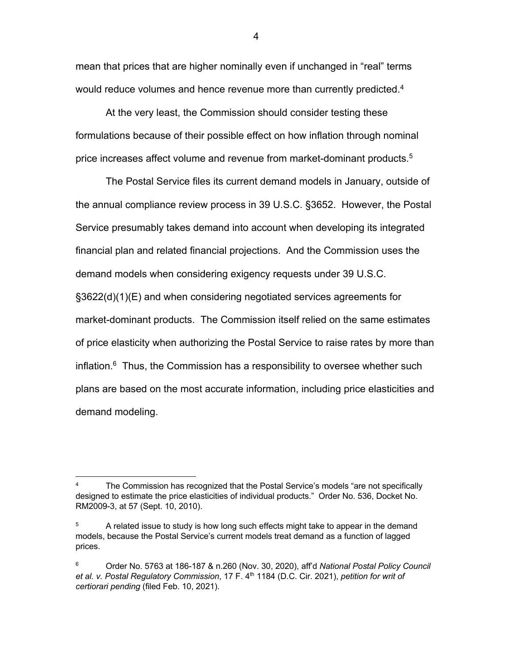mean that prices that are higher nominally even if unchanged in "real" terms would reduce volumes and hence revenue more than currently predicted.<sup>4</sup>

At the very least, the Commission should consider testing these formulations because of their possible effect on how inflation through nominal price increases affect volume and revenue from market-dominant products.5

The Postal Service files its current demand models in January, outside of the annual compliance review process in 39 U.S.C. §3652. However, the Postal Service presumably takes demand into account when developing its integrated financial plan and related financial projections. And the Commission uses the demand models when considering exigency requests under 39 U.S.C. §3622(d)(1)(E) and when considering negotiated services agreements for market-dominant products. The Commission itself relied on the same estimates of price elasticity when authorizing the Postal Service to raise rates by more than inflation. $6$  Thus, the Commission has a responsibility to oversee whether such plans are based on the most accurate information, including price elasticities and demand modeling.

4

<sup>&</sup>lt;sup>4</sup> The Commission has recognized that the Postal Service's models "are not specifically designed to estimate the price elasticities of individual products." Order No. 536, Docket No. RM2009-3, at 57 (Sept. 10, 2010).

 $5$  A related issue to study is how long such effects might take to appear in the demand models, because the Postal Service's current models treat demand as a function of lagged prices.

<sup>6</sup> Order No. 5763 at 186-187 & n.260 (Nov. 30, 2020), aff'd *National Postal Policy Council et al. v. Postal Regulatory Commission*, 17 F. 4th 1184 (D.C. Cir. 2021), *petition for writ of certiorari pending* (filed Feb. 10, 2021).